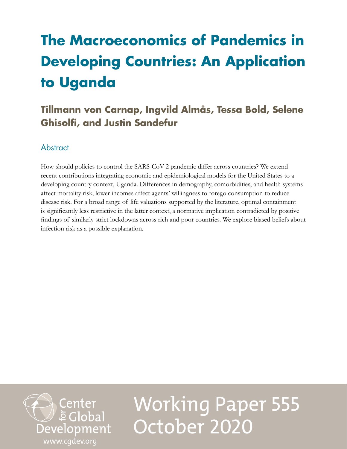# **The Macroeconomics of Pandemics in Developing Countries: An Application to Uganda**

# **Tillmann von Carnap, Ingvild Almås, Tessa Bold, Selene Ghisolfi, and Justin Sandefur**

# **Abstract**

How should policies to control the SARS-CoV-2 pandemic differ across countries? We extend recent contributions integrating economic and epidemiological models for the United States to a developing country context, Uganda. Differences in demography, comorbidities, and health systems affect mortality risk; lower incomes affect agents' willingness to forego consumption to reduce disease risk. For a broad range of life valuations supported by the literature, optimal containment is significantly less restrictive in the latter context, a normative implication contradicted by positive findings of similarly strict lockdowns across rich and poor countries. We explore biased beliefs about infection risk as a possible explanation.



Working Paper 555 October 2020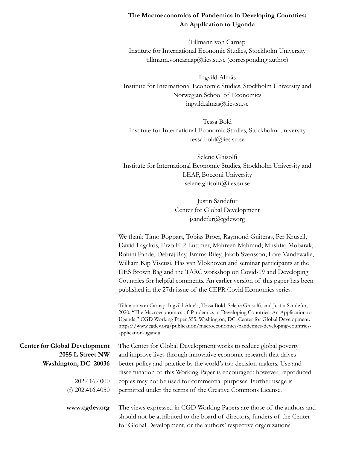# **The Macroeconomics of Pandemics in Developing Countries: An Application to Uganda**

Tillmann von Carnap Institute for International Economic Studies, Stockholm University tillmann.voncarnap@iies.su.se (corresponding author)

Ingvild Almås Institute for International Economic Studies, Stockholm University and Norwegian School of Economics ingvild.almas@iies.su.se

Tessa Bold Institute for International Economic Studies, Stockholm University tessa.bold@iies.su.se

Selene Ghisolfi Institute for International Economic Studies, Stockholm University and LEAP, Bocconi University selene.ghisolfi@iies.su.se

> Justin Sandefur Center for Global Development jsandefur@cgdev.org

We thank Timo Boppart, Tobias Broer, Raymond Guiteras, Per Krusell, David Lagakos, Erzo F. P. Luttmer, Mahreen Mahmud, Mushfiq Mobarak, Rohini Pande, Debraj Ray, Emma Riley, Jakob Svensson, Lore Vandewalle, William Kip Viscusi, Has van Vlokhoven and seminar participants at the IIES Brown Bag and the TARC workshop on Covid-19 and Developing Countries for helpful comments. An earlier version of this paper has been published in the 27th issue of the CEPR Covid Economics series.

Tillmann von Carnap, Ingvild Almås, Tessa Bold, Selene Ghisolfi, and Justin Sandefur, 2020. "The Macroeconomics of Pandemics in Developing Countries: An Application to Uganda." CGD Working Paper 555. Washington, DC: Center for Global Development. [https://www.cgdev.org/publication/macroeconomics-pandemics-developing-countries](https://www.cgdev.org/publication/macroeconomics-pandemics-developing-countries-application-uganda)[application-uganda](https://www.cgdev.org/publication/macroeconomics-pandemics-developing-countries-application-uganda)

| <b>Center for Global Development</b> | The Center for Global Development works to reduce global poverty          |  |  |
|--------------------------------------|---------------------------------------------------------------------------|--|--|
| 2055 L Street NW                     | and improve lives through innovative economic research that drives        |  |  |
| Washington, DC 20036                 | better policy and practice by the world's top decision makers. Use and    |  |  |
|                                      | dissemination of this Working Paper is encouraged; however, reproduced    |  |  |
| 202.416.4000                         | copies may not be used for commercial purposes. Further usage is          |  |  |
| (f) $202.416.4050$                   | permitted under the terms of the Creative Commons License.                |  |  |
| www.cgdev.org                        | The views expressed in CGD Working Papers are those of the authors and    |  |  |
|                                      | should not be attributed to the board of directors, funders of the Center |  |  |
|                                      | for Global Development, or the authors' respective organizations.         |  |  |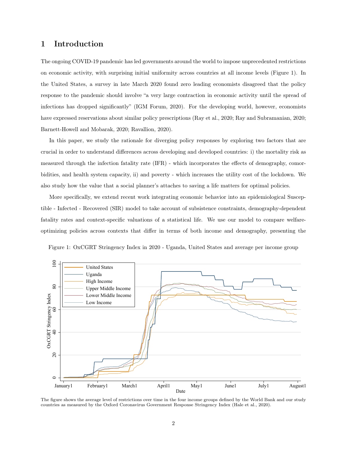# 1 Introduction

The ongoing COVID-19 pandemic has led governments around the world to impose unprecedented restrictions on economic activity, with surprising initial uniformity across countries at all income levels (Figure 1). In the United States, a survey in late March 2020 found zero leading economists disagreed that the policy response to the pandemic should involve "a very large contraction in economic activity until the spread of infections has dropped significantly" (IGM Forum, 2020). For the developing world, however, economists have expressed reservations about similar policy prescriptions (Ray et al., 2020; Ray and Subramanian, 2020; Barnett-Howell and Mobarak, 2020; Ravallion, 2020).

In this paper, we study the rationale for diverging policy responses by exploring two factors that are crucial in order to understand differences across developing and developed countries: i) the mortality risk as measured through the infection fatality rate (IFR) - which incorporates the effects of demography, comorbidities, and health system capacity, ii) and poverty - which increases the utility cost of the lockdown. We also study how the value that a social planner's attaches to saving a life matters for optimal policies.

More specifically, we extend recent work integrating economic behavior into an epidemiological Susceptible - Infected - Recovered (SIR) model to take account of subsistence constraints, demography-dependent fatality rates and context-specific valuations of a statistical life. We use our model to compare welfareoptimizing policies across contexts that differ in terms of both income and demography, presenting the





The figure shows the average level of restrictions over time in the four income groups defined by the World Bank and our study countries as measured by the Oxford Coronavirus Government Response Stringency Index (Hale et al., 2020).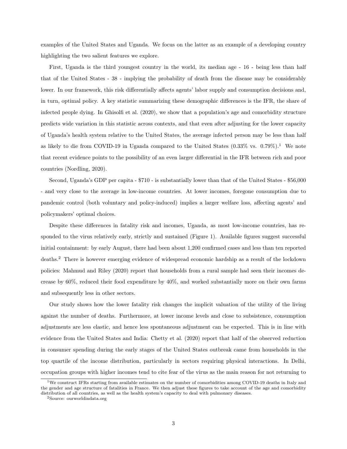examples of the United States and Uganda. We focus on the latter as an example of a developing country highlighting the two salient features we explore.

First, Uganda is the third youngest country in the world, its median age - 16 - being less than half that of the United States - 38 - implying the probability of death from the disease may be considerably lower. In our framework, this risk differentially affects agents' labor supply and consumption decisions and, in turn, optimal policy. A key statistic summarizing these demographic differences is the IFR, the share of infected people dying. In Ghisolfi et al. (2020), we show that a population's age and comorbidity structure predicts wide variation in this statistic across contexts, and that even after adjusting for the lower capacity of Uganda's health system relative to the United States, the average infected person may be less than half as likely to die from COVID-19 in Uganda compared to the United States  $(0.33\% \text{ vs. } 0.79\%).$ <sup>1</sup> We note that recent evidence points to the possibility of an even larger differential in the IFR between rich and poor countries (Nordling, 2020).

Second, Uganda's GDP per capita - \$710 - is substantially lower than that of the United States - \$56,000 - and very close to the average in low-income countries. At lower incomes, foregone consumption due to pandemic control (both voluntary and policy-induced) implies a larger welfare loss, affecting agents' and policymakers' optimal choices.

Despite these differences in fatality risk and incomes, Uganda, as most low-income countries, has responded to the virus relatively early, strictly and sustained (Figure 1). Available figures suggest successful initial containment: by early August, there had been about 1,200 confirmed cases and less than ten reported deaths.<sup>2</sup> There is however emerging evidence of widespread economic hardship as a result of the lockdown policies: Mahmud and Riley (2020) report that households from a rural sample had seen their incomes decrease by 60%, reduced their food expenditure by 40%, and worked substantially more on their own farms and subsequently less in other sectors.

Our study shows how the lower fatality risk changes the implicit valuation of the utility of the living against the number of deaths. Furthermore, at lower income levels and close to subsistence, consumption adjustments are less elastic, and hence less spontaneous adjustment can be expected. This is in line with evidence from the United States and India: Chetty et al. (2020) report that half of the observed reduction in consumer spending during the early stages of the United States outbreak came from households in the top quartile of the income distribution, particularly in sectors requiring physical interactions. In Delhi, occupation groups with higher incomes tend to cite fear of the virus as the main reason for not returning to

<sup>&</sup>lt;sup>1</sup>We construct IFRs starting from available estimates on the number of comorbidities among COVID-19 deaths in Italy and the gender and age structure of fatalities in France. We then adjust these figures to take account of the age and comorbidity distribution of all countries, as well as the health system's capacity to deal with pulmonary diseases.

<sup>2</sup>Source: ourworldindata.org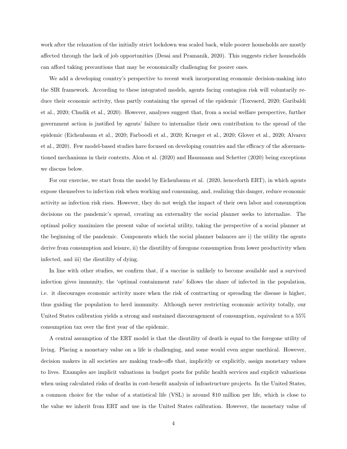work after the relaxation of the initially strict lockdown was scaled back, while poorer households are mostly affected through the lack of job opportunities (Desai and Pramanik, 2020). This suggests richer households can afford taking precautions that may be economically challenging for poorer ones.

We add a developing country's perspective to recent work incorporating economic decision-making into the SIR framework. According to these integrated models, agents facing contagion risk will voluntarily reduce their economic activity, thus partly containing the spread of the epidemic (Toxvaerd, 2020; Garibaldi et al., 2020; Chudik et al., 2020). However, analyses suggest that, from a social welfare perspective, further government action is justified by agents' failure to internalize their own contribution to the spread of the epidemic (Eichenbaum et al., 2020; Farboodi et al., 2020; Krueger et al., 2020; Glover et al., 2020; Alvarez et al., 2020). Few model-based studies have focused on developing countries and the efficacy of the aforementioned mechanisms in their contexts, Alon et al. (2020) and Hausmann and Schetter (2020) being exceptions we discuss below.

For our exercise, we start from the model by Eichenbaum et al. (2020, henceforth ERT), in which agents expose themselves to infection risk when working and consuming, and, realizing this danger, reduce economic activity as infection risk rises. However, they do not weigh the impact of their own labor and consumption decisions on the pandemic's spread, creating an externality the social planner seeks to internalize. The optimal policy maximizes the present value of societal utility, taking the perspective of a social planner at the beginning of the pandemic. Components which the social planner balances are i) the utility the agents derive from consumption and leisure, ii) the disutility of foregone consumption from lower productivity when infected, and iii) the disutility of dying.

In line with other studies, we confirm that, if a vaccine is unlikely to become available and a survived infection gives immunity, the 'optimal containment rate' follows the share of infected in the population, i.e. it discourages economic activity more when the risk of contracting or spreading the disease is higher, thus guiding the population to herd immunity. Although never restricting economic activity totally, our United States calibration yields a strong and sustained discouragement of consumption, equivalent to a 55% consumption tax over the first year of the epidemic.

A central assumption of the ERT model is that the disutility of death is equal to the foregone utility of living. Placing a monetary value on a life is challenging, and some would even argue unethical. However, decision makers in all societies are making trade-offs that, implicitly or explicitly, assign monetary values to lives. Examples are implicit valuations in budget posts for public health services and explicit valuations when using calculated risks of deaths in cost-benefit analysis of infrastructure projects. In the United States, a common choice for the value of a statistical life (VSL) is around \$10 million per life, which is close to the value we inherit from ERT and use in the United States calibration. However, the monetary value of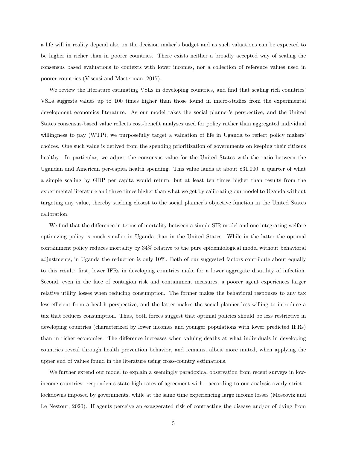a life will in reality depend also on the decision maker's budget and as such valuations can be expected to be higher in richer than in poorer countries. There exists neither a broadly accepted way of scaling the consensus based evaluations to contexts with lower incomes, nor a collection of reference values used in poorer countries (Viscusi and Masterman, 2017).

We review the literature estimating VSLs in developing countries, and find that scaling rich countries' VSLs suggests values up to 100 times higher than those found in micro-studies from the experimental development economics literature. As our model takes the social planner's perspective, and the United States consensus-based value reflects cost-benefit analyses used for policy rather than aggregated individual willingness to pay (WTP), we purposefully target a valuation of life in Uganda to reflect policy makers' choices. One such value is derived from the spending prioritization of governments on keeping their citizens healthy. In particular, we adjust the consensus value for the United States with the ratio between the Ugandan and American per-capita health spending. This value lands at about \$31,000, a quarter of what a simple scaling by GDP per capita would return, but at least ten times higher than results from the experimental literature and three times higher than what we get by calibrating our model to Uganda without targeting any value, thereby sticking closest to the social planner's objective function in the United States calibration.

We find that the difference in terms of mortality between a simple SIR model and one integrating welfare optimizing policy is much smaller in Uganda than in the United States. While in the latter the optimal containment policy reduces mortality by 34% relative to the pure epidemiological model without behavioral adjustments, in Uganda the reduction is only 10%. Both of our suggested factors contribute about equally to this result: first, lower IFRs in developing countries make for a lower aggregate disutility of infection. Second, even in the face of contagion risk and containment measures, a poorer agent experiences larger relative utility losses when reducing consumption. The former makes the behavioral responses to any tax less efficient from a health perspective, and the latter makes the social planner less willing to introduce a tax that reduces consumption. Thus, both forces suggest that optimal policies should be less restrictive in developing countries (characterized by lower incomes and younger populations with lower predicted IFRs) than in richer economies. The difference increases when valuing deaths at what individuals in developing countries reveal through health prevention behavior, and remains, albeit more muted, when applying the upper end of values found in the literature using cross-country estimations.

We further extend our model to explain a seemingly paradoxical observation from recent surveys in lowincome countries: respondents state high rates of agreement with - according to our analysis overly strict lockdowns imposed by governments, while at the same time experiencing large income losses (Moscoviz and Le Nestour, 2020). If agents perceive an exaggerated risk of contracting the disease and/or of dying from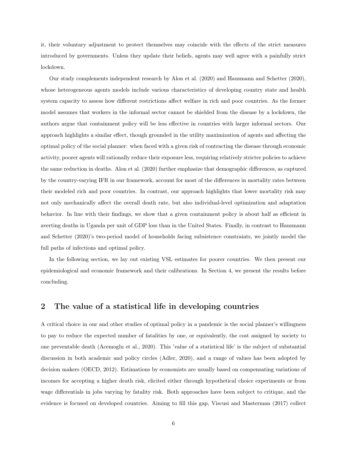it, their voluntary adjustment to protect themselves may coincide with the effects of the strict measures introduced by governments. Unless they update their beliefs, agents may well agree with a painfully strict lockdown.

Our study complements independent research by Alon et al. (2020) and Hausmann and Schetter (2020), whose heterogeneous agents models include various characteristics of developing country state and health system capacity to assess how different restrictions affect welfare in rich and poor countries. As the former model assumes that workers in the informal sector cannot be shielded from the disease by a lockdown, the authors argue that containment policy will be less effective in countries with larger informal sectors. Our approach highlights a similar effect, though grounded in the utility maximization of agents and affecting the optimal policy of the social planner: when faced with a given risk of contracting the disease through economic activity, poorer agents will rationally reduce their exposure less, requiring relatively stricter policies to achieve the same reduction in deaths. Alon et al. (2020) further emphasize that demographic differences, as captured by the country-varying IFR in our framework, account for most of the differences in mortality rates between their modeled rich and poor countries. In contrast, our approach highlights that lower mortality risk may not only mechanically affect the overall death rate, but also individual-level optimization and adaptation behavior. In line with their findings, we show that a given containment policy is about half as efficient in averting deaths in Uganda per unit of GDP loss than in the United States. Finally, in contrast to Hausmann and Schetter (2020)'s two-period model of households facing subsistence constraints, we jointly model the full paths of infections and optimal policy.

In the following section, we lay out existing VSL estimates for poorer countries. We then present our epidemiological and economic framework and their calibrations. In Section 4, we present the results before concluding.

# 2 The value of a statistical life in developing countries

A critical choice in our and other studies of optimal policy in a pandemic is the social planner's willingness to pay to reduce the expected number of fatalities by one, or equivalently, the cost assigned by society to one preventable death (Acemoglu et al., 2020). This 'value of a statistical life' is the subject of substantial discussion in both academic and policy circles (Adler, 2020), and a range of values has been adopted by decision makers (OECD, 2012). Estimations by economists are usually based on compensating variations of incomes for accepting a higher death risk, elicited either through hypothetical choice experiments or from wage differentials in jobs varying by fatality risk. Both approaches have been subject to critique, and the evidence is focused on developed countries. Aiming to fill this gap, Viscusi and Masterman (2017) collect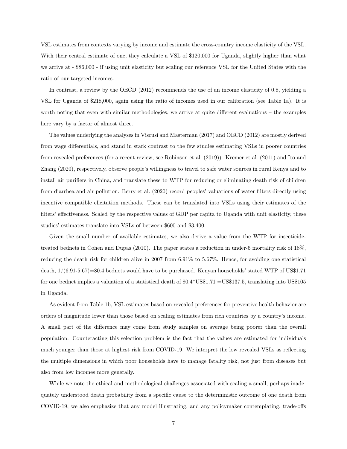VSL estimates from contexts varying by income and estimate the cross-country income elasticity of the VSL. With their central estimate of one, they calculate a VSL of \$120,000 for Uganda, slightly higher than what we arrive at - \$86,000 - if using unit elasticity but scaling our reference VSL for the United States with the ratio of our targeted incomes.

In contrast, a review by the OECD (2012) recommends the use of an income elasticity of 0.8, yielding a VSL for Uganda of \$218,000, again using the ratio of incomes used in our calibration (see Table 1a). It is worth noting that even with similar methodologies, we arrive at quite different evaluations – the examples here vary by a factor of almost three.

The values underlying the analyses in Viscusi and Masterman (2017) and OECD (2012) are mostly derived from wage differentials, and stand in stark contrast to the few studies estimating VSLs in poorer countries from revealed preferences (for a recent review, see Robinson et al. (2019)). Kremer et al. (2011) and Ito and Zhang (2020), respectively, observe people's willingness to travel to safe water sources in rural Kenya and to install air purifiers in China, and translate these to WTP for reducing or eliminating death risk of children from diarrhea and air pollution. Berry et al. (2020) record peoples' valuations of water filters directly using incentive compatible elicitation methods. These can be translated into VSLs using their estimates of the filters' effectiveness. Scaled by the respective values of GDP per capita to Uganda with unit elasticity, these studies' estimates translate into VSLs of between \$600 and \$3,400.

Given the small number of available estimates, we also derive a value from the WTP for insecticidetreated bednets in Cohen and Dupas (2010). The paper states a reduction in under-5 mortality risk of 18%, reducing the death risk for children alive in 2007 from 6.91% to 5.67%. Hence, for avoiding one statistical death, 1/(6.91-5.67)=80.4 bednets would have to be purchased. Kenyan households' stated WTP of US\$1.71 for one bednet implies a valuation of a statistical death of 80.4\*US\$1.71 =US\$137.5, translating into US\$105 in Uganda.

As evident from Table 1b, VSL estimates based on revealed preferences for preventive health behavior are orders of magnitude lower than those based on scaling estimates from rich countries by a country's income. A small part of the difference may come from study samples on average being poorer than the overall population. Counteracting this selection problem is the fact that the values are estimated for individuals much younger than those at highest risk from COVID-19. We interpret the low revealed VSLs as reflecting the multiple dimensions in which poor households have to manage fatality risk, not just from diseases but also from low incomes more generally.

While we note the ethical and methodological challenges associated with scaling a small, perhaps inadequately understood death probability from a specific cause to the deterministic outcome of one death from COVID-19, we also emphasize that any model illustrating, and any policymaker contemplating, trade-offs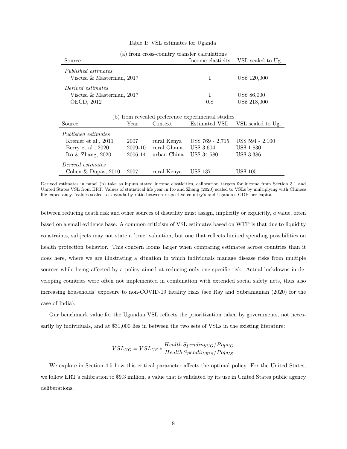#### Table 1: VSL estimates for Uganda

| (a) from cross-country transier calculations     |                   |                   |
|--------------------------------------------------|-------------------|-------------------|
| Source                                           | Income elasticity | VSL scaled to Ug. |
| Published estimates<br>Viscusi & Masterman, 2017 |                   | US\$ 120,000      |
| Derived estimates                                |                   |                   |
| Viscusi & Masterman, 2017                        |                   | US\$ 86,000       |
| OECD, 2012                                       | 0.8               | US\$ 218,000      |

|  | (a) from cross-country transfer calculations |  |
|--|----------------------------------------------|--|
|  |                                              |  |

|  |  | (b) from revealed preference experimental studies |  |
|--|--|---------------------------------------------------|--|
|  |  |                                                   |  |

| Source                | Year    | Context     | Estimated VSL    | VSL scaled to Ug. |
|-----------------------|---------|-------------|------------------|-------------------|
| Published estimates   |         |             |                  |                   |
| Kremer et al., 2011   | 2007    | rural Kenya | US\$ 769 - 2,715 | US\$ 594 - 2,100  |
| Berry et al., 2020    | 2009-10 | rural Ghana | US\$ 3,604       | <b>US\$ 1,830</b> |
| Ito $&$ Zhang, 2020   | 2006-14 | urban China | US\$ 34,580      | US\$ 3,386        |
| Derived estimates     |         |             |                  |                   |
| Cohen & Dupas, $2010$ | 2007    | rural Kenya | <b>US\$ 137</b>  | US\$ 105          |

Derived estimates in panel (b) take as inputs stated income elasticities, calibration targets for income from Section 3.1 and United States VSL from ERT. Values of statistical life year in Ito and Zhang (2020) scaled to VSLs by multiplying with Chinese life expectancy. Values scaled to Uganda by ratio between respective country's and Uganda's GDP per capita.

between reducing death risk and other sources of disutility must assign, implicitly or explicitly, a value, often based on a small evidence base. A common criticism of VSL estimates based on WTP is that due to liquidity constraints, subjects may not state a 'true' valuation, but one that reflects limited spending possibilities on health protection behavior. This concern looms larger when comparing estimates across countries than it does here, where we are illustrating a situation in which individuals manage disease risks from multiple sources while being affected by a policy aimed at reducing only one specific risk. Actual lockdowns in developing countries were often not implemented in combination with extended social safety nets, thus also increasing households' exposure to non-COVID-19 fatality risks (see Ray and Subramanian (2020) for the case of India).

Our benchmark value for the Ugandan VSL reflects the prioritization taken by governments, not necessarily by individuals, and at \$31,000 lies in between the two sets of VSLs in the existing literature:

$$
VSL_{UG} = VSL_{US} * \frac{Health\,Spending_{UG}/Pop_{UG}}{Health\,Spending_{US}/Pop_{US}}
$$

We explore in Section 4.5 how this critical parameter affects the optimal policy. For the United States, we follow ERT's calibration to \$9.3 million, a value that is validated by its use in United States public agency deliberations.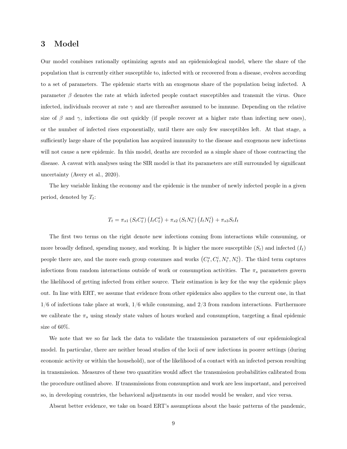## 3 Model

Our model combines rationally optimizing agents and an epidemiological model, where the share of the population that is currently either susceptible to, infected with or recovered from a disease, evolves according to a set of parameters. The epidemic starts with an exogenous share of the population being infected. A parameter  $\beta$  denotes the rate at which infected people contact susceptibles and transmit the virus. Once infected, individuals recover at rate  $\gamma$  and are thereafter assumed to be immune. Depending on the relative size of  $\beta$  and  $\gamma$ , infections die out quickly (if people recover at a higher rate than infecting new ones), or the number of infected rises exponentially, until there are only few susceptibles left. At that stage, a sufficiently large share of the population has acquired immunity to the disease and exogenous new infections will not cause a new epidemic. In this model, deaths are recorded as a simple share of those contracting the disease. A caveat with analyses using the SIR model is that its parameters are still surrounded by significant uncertainty (Avery et al., 2020).

The key variable linking the economy and the epidemic is the number of newly infected people in a given period, denoted by  $T_t$ :

$$
T_t = \pi_{s1} (S_t C_t^s) (I_t C_t^i) + \pi_{s2} (S_t N_t^s) (I_t N_t^i) + \pi_{s3} S_t I_t
$$

The first two terms on the right denote new infections coming from interactions while consuming, or more broadly defined, spending money, and working. It is higher the more susceptible  $(S_t)$  and infected  $(I_t)$ people there are, and the more each group consumes and works  $(C_t^s, C_t^i, N_t^s, N_t^i)$ . The third term captures infections from random interactions outside of work or consumption activities. The  $\pi_s$  parameters govern the likelihood of getting infected from either source. Their estimation is key for the way the epidemic plays out. In line with ERT, we assume that evidence from other epidemics also applies to the current one, in that  $1/6$  of infections take place at work,  $1/6$  while consuming, and  $2/3$  from random interactions. Furthermore we calibrate the  $\pi_s$  using steady state values of hours worked and consumption, targeting a final epidemic size of 60%.

We note that we so far lack the data to validate the transmission parameters of our epidemiological model. In particular, there are neither broad studies of the locii of new infections in poorer settings (during economic activity or within the household), nor of the likelihood of a contact with an infected person resulting in transmission. Measures of these two quantities would affect the transmission probabilities calibrated from the procedure outlined above. If transmissions from consumption and work are less important, and perceived so, in developing countries, the behavioral adjustments in our model would be weaker, and vice versa.

Absent better evidence, we take on board ERT's assumptions about the basic patterns of the pandemic,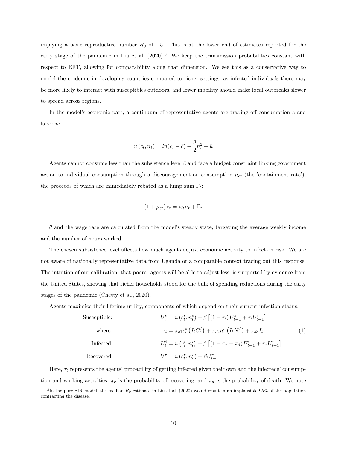implying a basic reproductive number  $R_0$  of 1.5. This is at the lower end of estimates reported for the early stage of the pandemic in Liu et al.  $(2020)^3$  We keep the transmission probabilities constant with respect to ERT, allowing for comparability along that dimension. We see this as a conservative way to model the epidemic in developing countries compared to richer settings, as infected individuals there may be more likely to interact with susceptibles outdoors, and lower mobility should make local outbreaks slower to spread across regions.

In the model's economic part, a continuum of representative agents are trading off consumption  $c$  and labor n:

$$
u(c_t, n_t) = ln(c_t - \bar{c}) - \frac{\theta}{2}n_t^2 + \bar{u}
$$

Agents cannot consume less than the subsistence level  $\bar{c}$  and face a budget constraint linking government action to individual consumption through a discouragement on consumption  $\mu_{ct}$  (the 'containment rate'), the proceeds of which are immediately rebated as a lump sum  $\Gamma_t$ :

$$
(1 + \mu_{ct}) c_t = w_t n_t + \Gamma_t
$$

 $\theta$  and the wage rate are calculated from the model's steady state, targeting the average weekly income and the number of hours worked.

The chosen subsistence level affects how much agents adjust economic activity to infection risk. We are not aware of nationally representative data from Uganda or a comparable context tracing out this response. The intuition of our calibration, that poorer agents will be able to adjust less, is supported by evidence from the United States, showing that richer households stood for the bulk of spending reductions during the early stages of the pandemic (Chetty et al., 2020).

Agents maximize their lifetime utility, components of which depend on their current infection status.

Susceptible:

\n
$$
U_{t}^{s} = u(c_{t}^{s}, n_{t}^{s}) + \beta \left[ (1 - \tau_{t}) U_{t+1}^{s} + \tau_{t} U_{t+1}^{i} \right]
$$
\nwhere:

\n
$$
\tau_{t} = \pi_{s1} c_{t}^{s} \left( I_{t} C_{t}^{I} \right) + \pi_{s2} n_{t}^{s} \left( I_{t} N_{t}^{I} \right) + \pi_{s3} I_{t}
$$
\nInfected:

\n
$$
U_{t}^{i} = u(c_{t}^{i}, n_{t}^{i}) + \beta \left[ (1 - \pi_{r} - \pi_{d}) U_{t+1}^{i} + \pi_{r} U_{t+1}^{r} \right]
$$
\nRecovered:

\n
$$
U_{t}^{r} = u(c_{t}^{r}, n_{t}^{r}) + \beta U_{t+1}^{r}
$$
\n(1)

Here,  $\tau_t$  represents the agents' probability of getting infected given their own and the infecteds' consumption and working activities,  $\pi_r$  is the probability of recovering, and  $\pi_d$  is the probability of death. We note

<sup>&</sup>lt;sup>3</sup>In the pure SIR model, the median  $R_0$  estimate in Liu et al. (2020) would result in an implausible 95% of the population contracting the disease.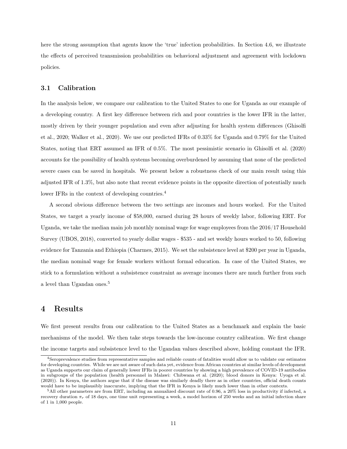here the strong assumption that agents know the 'true' infection probabilities. In Section 4.6, we illustrate the effects of perceived transmission probabilities on behavioral adjustment and agreement with lockdown policies.

#### 3.1 Calibration

In the analysis below, we compare our calibration to the United States to one for Uganda as our example of a developing country. A first key difference between rich and poor countries is the lower IFR in the latter, mostly driven by their younger population and even after adjusting for health system differences (Ghisolfi et al., 2020; Walker et al., 2020). We use our predicted IFRs of 0.33% for Uganda and 0.79% for the United States, noting that ERT assumed an IFR of 0.5%. The most pessimistic scenario in Ghisolfi et al. (2020) accounts for the possibility of health systems becoming overburdened by assuming that none of the predicted severe cases can be saved in hospitals. We present below a robustness check of our main result using this adjusted IFR of 1.3%, but also note that recent evidence points in the opposite direction of potentially much lower IFRs in the context of developing countries.<sup>4</sup>

A second obvious difference between the two settings are incomes and hours worked. For the United States, we target a yearly income of \$58,000, earned during 28 hours of weekly labor, following ERT. For Uganda, we take the median main job monthly nominal wage for wage employees from the 2016/17 Household Survey (UBOS, 2018), converted to yearly dollar wages - \$535 - and set weekly hours worked to 50, following evidence for Tanzania and Ethiopia (Charmes, 2015). We set the subsistence level at \$200 per year in Uganda, the median nominal wage for female workers without formal education. In case of the United States, we stick to a formulation without a subsistence constraint as average incomes there are much further from such a level than Ugandan ones.<sup>5</sup>

## 4 Results

We first present results from our calibration to the United States as a benchmark and explain the basic mechanisms of the model. We then take steps towards the low-income country calibration. We first change the income targets and subsistence level to the Ugandan values described above, holding constant the IFR.

<sup>4</sup>Seroprevalence studies from representative samples and reliable counts of fatalities would allow us to validate our estimates for developing countries. While we are not aware of such data yet, evidence from African countries at similar levels of development as Uganda supports our claim of generally lower IFRs in poorer countries by showing a high prevalence of COVID-19 antibodies in subgroups of the population (health personnel in Malawi: Chibwana et al. (2020); blood donors in Kenya: Uyoga et al. (2020)). In Kenya, the authors argue that if the disease was similarly deadly there as in other countries, official death counts would have to be implausibly inaccurate, implying that the IFR in Kenya is likely much lower than in other contexts.

<sup>&</sup>lt;sup>5</sup>All other parameters are from ERT, including an annualized discount rate of 0.96, a 20% loss in productivity if infected, a recovery duration  $\pi_r$  of 18 days, one time unit representing a week, a model horizon of 250 weeks and an initial infection share of 1 in 1,000 people.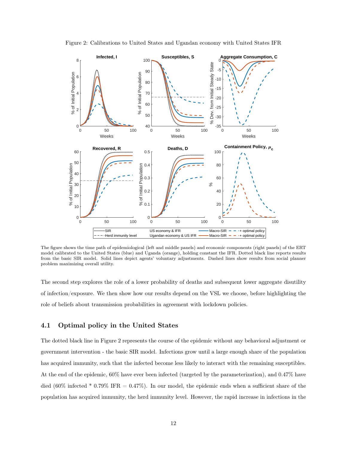

Figure 2: Calibrations to United States and Ugandan economy with United States IFR

The figure shows the time path of epidemiological (left and middle panels) and economic components (right panels) of the ERT model calibrated to the United States (blue) and Uganda (orange), holding constant the IFR. Dotted black line reports results from the basic SIR model. Solid lines depict agents' voluntary adjustments. Dashed lines show results from social planner problem maximizing overall utility.

The second step explores the role of a lower probability of deaths and subsequent lower aggregate disutility of infection/exposure. We then show how our results depend on the VSL we choose, before highlighting the role of beliefs about transmission probabilities in agreement with lockdown policies.

#### 4.1 Optimal policy in the United States

The dotted black line in Figure 2 represents the course of the epidemic without any behavioral adjustment or government intervention - the basic SIR model. Infections grow until a large enough share of the population has acquired immunity, such that the infected become less likely to interact with the remaining susceptibles. At the end of the epidemic, 60% have ever been infected (targeted by the parameterization), and 0.47% have died (60% infected \* 0.79% IFR = 0.47%). In our model, the epidemic ends when a sufficient share of the population has acquired immunity, the herd immunity level. However, the rapid increase in infections in the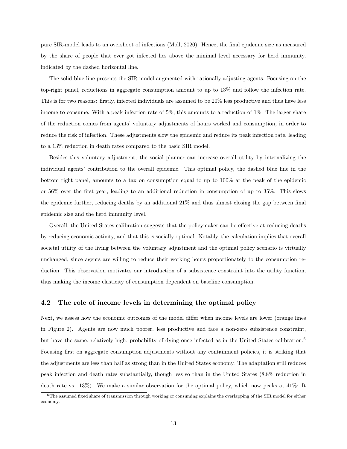pure SIR-model leads to an overshoot of infections (Moll, 2020). Hence, the final epidemic size as measured by the share of people that ever got infected lies above the minimal level necessary for herd immunity, indicated by the dashed horizontal line.

The solid blue line presents the SIR-model augmented with rationally adjusting agents. Focusing on the top-right panel, reductions in aggregate consumption amount to up to 13% and follow the infection rate. This is for two reasons: firstly, infected individuals are assumed to be 20% less productive and thus have less income to consume. With a peak infection rate of 5%, this amounts to a reduction of 1%. The larger share of the reduction comes from agents' voluntary adjustments of hours worked and consumption, in order to reduce the risk of infection. These adjustments slow the epidemic and reduce its peak infection rate, leading to a 13% reduction in death rates compared to the basic SIR model.

Besides this voluntary adjustment, the social planner can increase overall utility by internalizing the individual agents' contribution to the overall epidemic. This optimal policy, the dashed blue line in the bottom right panel, amounts to a tax on consumption equal to up to 100% at the peak of the epidemic or 56% over the first year, leading to an additional reduction in consumption of up to 35%. This slows the epidemic further, reducing deaths by an additional 21% and thus almost closing the gap between final epidemic size and the herd immunity level.

Overall, the United States calibration suggests that the policymaker can be effective at reducing deaths by reducing economic activity, and that this is socially optimal. Notably, the calculation implies that overall societal utility of the living between the voluntary adjustment and the optimal policy scenario is virtually unchanged, since agents are willing to reduce their working hours proportionately to the consumption reduction. This observation motivates our introduction of a subsistence constraint into the utility function, thus making the income elasticity of consumption dependent on baseline consumption.

#### 4.2 The role of income levels in determining the optimal policy

Next, we assess how the economic outcomes of the model differ when income levels are lower (orange lines in Figure 2). Agents are now much poorer, less productive and face a non-zero subsistence constraint, but have the same, relatively high, probability of dying once infected as in the United States calibration.<sup>6</sup> Focusing first on aggregate consumption adjustments without any containment policies, it is striking that the adjustments are less than half as strong than in the United States economy. The adaptation still reduces peak infection and death rates substantially, though less so than in the United States (8.8% reduction in death rate vs. 13%). We make a similar observation for the optimal policy, which now peaks at 41%: It

<sup>6</sup>The assumed fixed share of transmission through working or consuming explains the overlapping of the SIR model for either economy.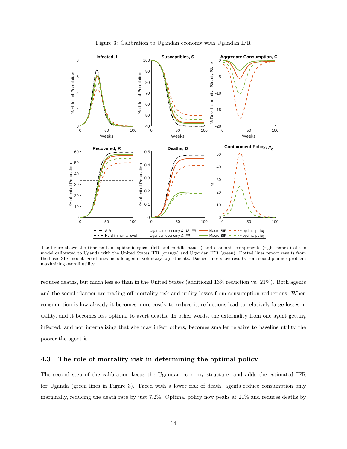

Figure 3: Calibration to Ugandan economy with Ugandan IFR

The figure shows the time path of epidemiological (left and middle panels) and economic components (right panels) of the model calibrated to Uganda with the United States IFR (orange) and Ugandan IFR (green). Dotted lines report results from the basic SIR model. Solid lines include agents' voluntary adjustments. Dashed lines show results from social planner problem maximizing overall utility.

reduces deaths, but much less so than in the United States (additional 13% reduction vs. 21%). Both agents and the social planner are trading off mortality risk and utility losses from consumption reductions. When consumption is low already it becomes more costly to reduce it, reductions lead to relatively large losses in utility, and it becomes less optimal to avert deaths. In other words, the externality from one agent getting infected, and not internalizing that she may infect others, becomes smaller relative to baseline utility the poorer the agent is.

#### 4.3 The role of mortality risk in determining the optimal policy

The second step of the calibration keeps the Ugandan economy structure, and adds the estimated IFR for Uganda (green lines in Figure 3). Faced with a lower risk of death, agents reduce consumption only marginally, reducing the death rate by just 7.2%. Optimal policy now peaks at 21% and reduces deaths by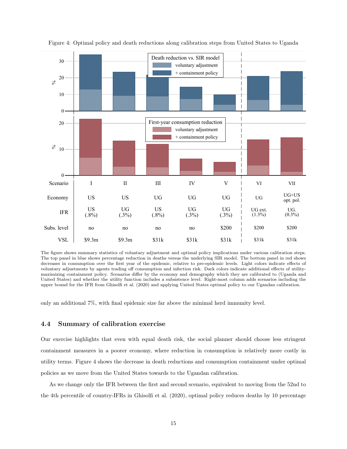

Figure 4: Optimal policy and death reductions along calibration steps from United States to Uganda

The figure shows summary statistics of voluntary adjustment and optimal policy implications under various calibration steps. The top panel in blue shows percentage reduction in deaths versus the underlying SIR model. The bottom panel in red shows decreases in consumption over the first year of the epidemic, relative to pre-epidemic levels. Light colors indicate effects of voluntary adjustments by agents trading off consumption and infection risk. Dark colors indicate additional effects of utilitymaximizing containment policy. Scenarios differ by the economy and demography which they are calibrated to (Uganda and United States) and whether the utility function includes a subsistence level. Right-most column adds scenarios including the upper bound for the IFR from Ghisolfi et al. (2020) and applying United States optimal policy to our Ugandan calibration.

only an additional 7%, with final epidemic size far above the minimal herd immunity level.

#### 4.4 Summary of calibration exercise

Our exercise highlights that even with equal death risk, the social planner should choose less stringent containment measures in a poorer economy, where reduction in consumption is relatively more costly in utility terms. Figure 4 shows the decrease in death reductions and consumption containment under optimal policies as we move from the United States towards to the Ugandan calibration.

As we change only the IFR between the first and second scenario, equivalent to moving from the 52nd to the 4th percentile of country-IFRs in Ghisolfi et al. (2020), optimal policy reduces deaths by 10 percentage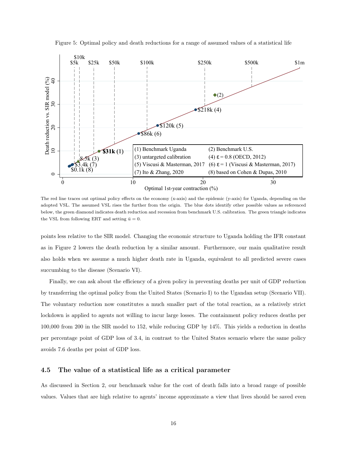

Figure 5: Optimal policy and death reductions for a range of assumed values of a statistical life

The red line traces out optimal policy effects on the economy (x-axis) and the epidemic (y-axis) for Uganda, depending on the adopted VSL. The assumed VSL rises the further from the origin. The blue dots identify other possible values as referenced below, the green diamond indicates death reduction and recession from benchmark U.S. calibration. The green triangle indicates the VSL from following ERT and setting  $\bar{u} = 0$ .

points less relative to the SIR model. Changing the economic structure to Uganda holding the IFR constant as in Figure 2 lowers the death reduction by a similar amount. Furthermore, our main qualitative result also holds when we assume a much higher death rate in Uganda, equivalent to all predicted severe cases succumbing to the disease (Scenario VI).

Finally, we can ask about the efficiency of a given policy in preventing deaths per unit of GDP reduction by transferring the optimal policy from the United States (Scenario I) to the Ugandan setup (Scenario VII). The voluntary reduction now constitutes a much smaller part of the total reaction, as a relatively strict lockdown is applied to agents not willing to incur large losses. The containment policy reduces deaths per 100,000 from 200 in the SIR model to 152, while reducing GDP by 14%. This yields a reduction in deaths per percentage point of GDP loss of 3.4, in contrast to the United States scenario where the same policy avoids 7.6 deaths per point of GDP loss.

#### 4.5 The value of a statistical life as a critical parameter

As discussed in Section 2, our benchmark value for the cost of death falls into a broad range of possible values. Values that are high relative to agents' income approximate a view that lives should be saved even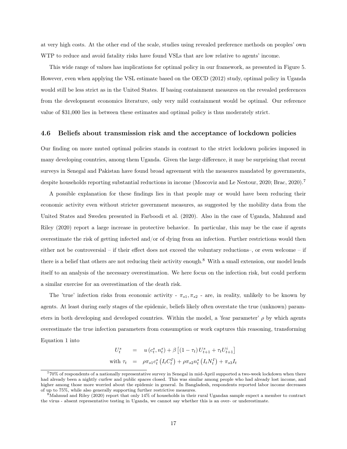at very high costs. At the other end of the scale, studies using revealed preference methods on peoples' own WTP to reduce and avoid fatality risks have found VSLs that are low relative to agents' income.

This wide range of values has implications for optimal policy in our framework, as presented in Figure 5. However, even when applying the VSL estimate based on the OECD (2012) study, optimal policy in Uganda would still be less strict as in the United States. If basing containment measures on the revealed preferences from the development economics literature, only very mild containment would be optimal. Our reference value of \$31,000 lies in between these estimates and optimal policy is thus moderately strict.

#### 4.6 Beliefs about transmission risk and the acceptance of lockdown policies

Our finding on more muted optimal policies stands in contrast to the strict lockdown policies imposed in many developing countries, among them Uganda. Given the large difference, it may be surprising that recent surveys in Senegal and Pakistan have found broad agreement with the measures mandated by governments, despite households reporting substantial reductions in income (Moscoviz and Le Nestour, 2020; Brac, 2020).<sup>7</sup>

A possible explanation for these findings lies in that people may or would have been reducing their economic activity even without stricter government measures, as suggested by the mobility data from the United States and Sweden presented in Farboodi et al. (2020). Also in the case of Uganda, Mahmud and Riley (2020) report a large increase in protective behavior. In particular, this may be the case if agents overestimate the risk of getting infected and/or of dying from an infection. Further restrictions would then either not be controversial – if their effect does not exceed the voluntary reductions–, or even welcome – if there is a belief that others are not reducing their activity enough.<sup>8</sup> With a small extension, our model lends itself to an analysis of the necessary overestimation. We here focus on the infection risk, but could perform a similar exercise for an overestimation of the death risk.

The 'true' infection risks from economic activity -  $\pi_{s1}, \pi_{s2}$  - are, in reality, unlikely to be known by agents. At least during early stages of the epidemic, beliefs likely often overstate the true (unknown) parameters in both developing and developed countries. Within the model, a 'fear parameter'  $\rho$  by which agents overestimate the true infection parameters from consumption or work captures this reasoning, transforming Equation 1 into

$$
U_t^s = u(c_t^s, n_t^s) + \beta \left[ (1 - \tau_t) U_{t+1}^s + \tau_t U_{t+1}^i \right]
$$
  
with  $\tau_t = \rho \pi_{s1} c_t^s (I_t C_t^I) + \rho \pi_{s2} n_t^s (I_t N_t^I) + \pi_{s3} I_t$ 

<sup>7</sup>70% of respondents of a nationally representative survey in Senegal in mid-April supported a two-week lockdown when there had already been a nightly curfew and public spaces closed. This was similar among people who had already lost income, and higher among those more worried about the epidemic in general. In Bangladesh, respondents reported labor income decreases of up to 75%, while also generally supporting further restrictive measures.

<sup>8</sup>Mahmud and Riley (2020) report that only 14% of households in their rural Ugandan sample expect a member to contract the virus - absent representative testing in Uganda, we cannot say whether this is an over- or underestimate.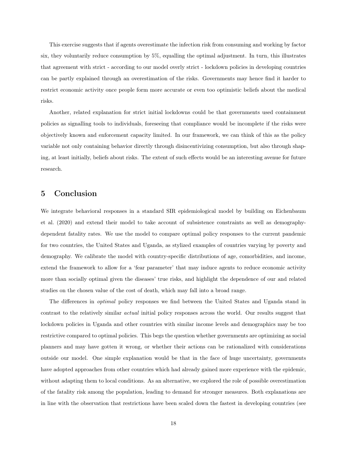This exercise suggests that if agents overestimate the infection risk from consuming and working by factor six, they voluntarily reduce consumption by 5%, equalling the optimal adjustment. In turn, this illustrates that agreement with strict - according to our model overly strict - lockdown policies in developing countries can be partly explained through an overestimation of the risks. Governments may hence find it harder to restrict economic activity once people form more accurate or even too optimistic beliefs about the medical risks.

Another, related explanation for strict initial lockdowns could be that governments used containment policies as signalling tools to individuals, foreseeing that compliance would be incomplete if the risks were objectively known and enforcement capacity limited. In our framework, we can think of this as the policy variable not only containing behavior directly through disincentivizing consumption, but also through shaping, at least initially, beliefs about risks. The extent of such effects would be an interesting avenue for future research.

## 5 Conclusion

We integrate behavioral responses in a standard SIR epidemiological model by building on Eichenbaum et al. (2020) and extend their model to take account of subsistence constraints as well as demographydependent fatality rates. We use the model to compare optimal policy responses to the current pandemic for two countries, the United States and Uganda, as stylized examples of countries varying by poverty and demography. We calibrate the model with country-specific distributions of age, comorbidities, and income, extend the framework to allow for a 'fear parameter' that may induce agents to reduce economic activity more than socially optimal given the diseases' true risks, and highlight the dependence of our and related studies on the chosen value of the cost of death, which may fall into a broad range.

The differences in optimal policy responses we find between the United States and Uganda stand in contrast to the relatively similar actual initial policy responses across the world. Our results suggest that lockdown policies in Uganda and other countries with similar income levels and demographics may be too restrictive compared to optimal policies. This begs the question whether governments are optimizing as social planners and may have gotten it wrong, or whether their actions can be rationalized with considerations outside our model. One simple explanation would be that in the face of huge uncertainty, governments have adopted approaches from other countries which had already gained more experience with the epidemic, without adapting them to local conditions. As an alternative, we explored the role of possible overestimation of the fatality risk among the population, leading to demand for stronger measures. Both explanations are in line with the observation that restrictions have been scaled down the fastest in developing countries (see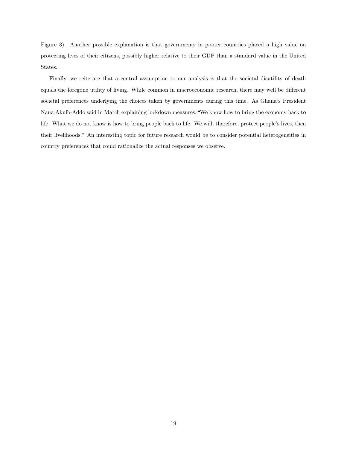Figure 3). Another possible explanation is that governments in poorer countries placed a high value on protecting lives of their citizens, possibly higher relative to their GDP than a standard value in the United States.

Finally, we reiterate that a central assumption to our analysis is that the societal disutility of death equals the foregone utility of living. While common in macroeconomic research, there may well be different societal preferences underlying the choices taken by governments during this time. As Ghana's President Nana Akufo-Addo said in March explaining lockdown measures, "We know how to bring the economy back to life. What we do not know is how to bring people back to life. We will, therefore, protect people's lives, then their livelihoods." An interesting topic for future research would be to consider potential heterogeneities in country preferences that could rationalize the actual responses we observe.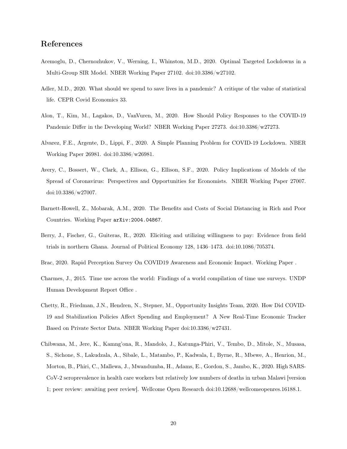# References

- Acemoglu, D., Chernozhukov, V., Werning, I., Whinston, M.D., 2020. Optimal Targeted Lockdowns in a Multi-Group SIR Model. NBER Working Paper 27102. doi:10.3386/w27102.
- Adler, M.D., 2020. What should we spend to save lives in a pandemic? A critique of the value of statistical life. CEPR Covid Economics 33.
- Alon, T., Kim, M., Lagakos, D., VanVuren, M., 2020. How Should Policy Responses to the COVID-19 Pandemic Differ in the Developing World? NBER Working Paper 27273. doi:10.3386/w27273.
- Alvarez, F.E., Argente, D., Lippi, F., 2020. A Simple Planning Problem for COVID-19 Lockdown. NBER Working Paper 26981. doi:10.3386/w26981.
- Avery, C., Bossert, W., Clark, A., Ellison, G., Ellison, S.F., 2020. Policy Implications of Models of the Spread of Coronavirus: Perspectives and Opportunities for Economists. NBER Working Paper 27007. doi:10.3386/w27007.
- Barnett-Howell, Z., Mobarak, A.M., 2020. The Benefits and Costs of Social Distancing in Rich and Poor Countries. Working Paper arXiv:2004.04867.
- Berry, J., Fischer, G., Guiteras, R., 2020. Eliciting and utilizing willingness to pay: Evidence from field trials in northern Ghana. Journal of Political Economy 128, 1436–1473. doi:10.1086/705374.
- Brac, 2020. Rapid Perception Survey On COVID19 Awareness and Economic Impact. Working Paper .
- Charmes, J., 2015. Time use across the world: Findings of a world compilation of time use surveys. UNDP Human Development Report Office .
- Chetty, R., Friedman, J.N., Hendren, N., Stepner, M., Opportunity Insights Team, 2020. How Did COVID-19 and Stabilization Policies Affect Spending and Employment? A New Real-Time Economic Tracker Based on Private Sector Data. NBER Working Paper doi:10.3386/w27431.
- Chibwana, M., Jere, K., Kamng'ona, R., Mandolo, J., Katunga-Phiri, V., Tembo, D., Mitole, N., Musasa, S., Sichone, S., Lakudzala, A., Sibale, L., Matambo, P., Kadwala, I., Byrne, R., Mbewe, A., Henrion, M., Morton, B., Phiri, C., Mallewa, J., Mwandumba, H., Adams, E., Gordon, S., Jambo, K., 2020. High SARS-CoV-2 seroprevalence in health care workers but relatively low numbers of deaths in urban Malawi [version 1; peer review: awaiting peer review]. Wellcome Open Research doi:10.12688/wellcomeopenres.16188.1.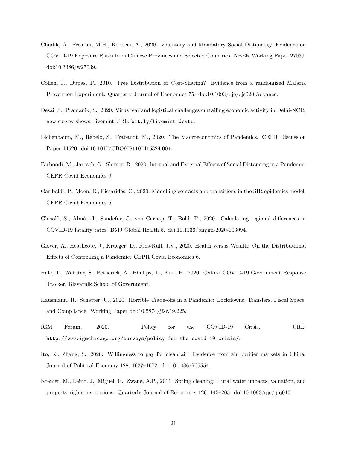- Chudik, A., Pesaran, M.H., Rebucci, A., 2020. Voluntary and Mandatory Social Distancing: Evidence on COVID-19 Exposure Rates from Chinese Provinces and Selected Countries. NBER Working Paper 27039. doi:10.3386/w27039.
- Cohen, J., Dupas, P., 2010. Free Distribution or Cost-Sharing? Evidence from a randomized Malaria Prevention Experiment. Quarterly Journal of Economics 75. doi:10.1093/qje/qjs020.Advance.
- Desai, S., Pramanik, S., 2020. Virus fear and logistical challenges curtailing economic activity in Delhi-NCR, new survey shows. livemint URL: bit.ly/livemint-dcvts.
- Eichenbaum, M., Rebelo, S., Trabandt, M., 2020. The Macroeconomics of Pandemics. CEPR Discussion Paper 14520. doi:10.1017/CBO9781107415324.004.
- Farboodi, M., Jarosch, G., Shimer, R., 2020. Internal and External Effects of Social Distancing in a Pandemic. CEPR Covid Economics 9.
- Garibaldi, P., Moen, E., Pissarides, C., 2020. Modelling contacts and transitions in the SIR epidemics model. CEPR Covid Economics 5.
- Ghisolfi, S., Almås, I., Sandefur, J., von Carnap, T., Bold, T., 2020. Calculating regional differences in COVID-19 fatality rates. BMJ Global Health 5. doi:10.1136/bmjgh-2020-003094.
- Glover, A., Heathcote, J., Krueger, D., Ríos-Rull, J.V., 2020. Health versus Wealth: On the Distributional Effects of Controlling a Pandemic. CEPR Covid Economics 6.
- Hale, T., Webster, S., Petherick, A., Phillips, T., Kira, B., 2020. Oxford COVID-19 Government Response Tracker, Blavatnik School of Government.
- Hausmann, R., Schetter, U., 2020. Horrible Trade-offs in a Pandemic: Lockdowns, Transfers, Fiscal Space, and Compliance. Working Paper doi:10.5874/jfsr.19.225.
- IGM Forum, 2020. Policy for the COVID-19 Crisis. URL: http://www.igmchicago.org/surveys/policy-for-the-covid-19-crisis/.
- Ito, K., Zhang, S., 2020. Willingness to pay for clean air: Evidence from air purifier markets in China. Journal of Political Economy 128, 1627–1672. doi:10.1086/705554.
- Kremer, M., Leino, J., Miguel, E., Zwane, A.P., 2011. Spring cleaning: Rural water impacts, valuation, and property rights institutions. Quarterly Journal of Economics 126, 145–205. doi:10.1093/qje/qjq010.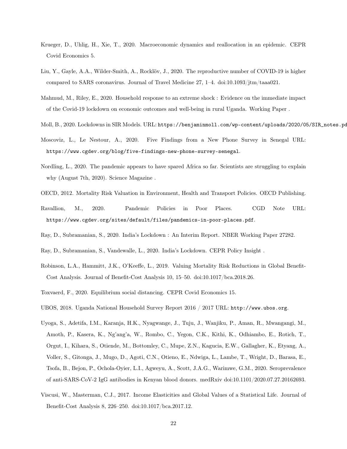- Krueger, D., Uhlig, H., Xie, T., 2020. Macroeconomic dynamics and reallocation in an epidemic. CEPR Covid Economics 5.
- Liu, Y., Gayle, A.A., Wilder-Smith, A., Rocklöv, J., 2020. The reproductive number of COVID-19 is higher compared to SARS coronavirus. Journal of Travel Medicine 27, 1–4. doi:10.1093/jtm/taaa021.
- Mahmud, M., Riley, E., 2020. Household response to an extreme shock : Evidence on the immediate impact of the Covid-19 lockdown on economic outcomes and well-being in rural Uganda. Working Paper .
- Moll, B., 2020. Lockdowns in SIR Models. URL: https://benjaminmoll.com/wp-content/uploads/2020/05/SIR\_notes.pd
- Moscoviz, L., Le Nestour, A., 2020. Five Findings from a New Phone Survey in Senegal URL: https://www.cgdev.org/blog/five-findings-new-phone-survey-senegal.
- Nordling, L., 2020. The pandemic appears to have spared Africa so far. Scientists are struggling to explain why (August 7th, 2020). Science Magazine .
- OECD, 2012. Mortality Risk Valuation in Environment, Health and Transport Policies. OECD Publishing.
- Ravallion, M., 2020. Pandemic Policies in Poor Places. CGD Note URL: https://www.cgdev.org/sites/default/files/pandemics-in-poor-places.pdf.
- Ray, D., Subramanian, S., 2020. India's Lockdown : An Interim Report. NBER Working Paper 27282.
- Ray, D., Subramanian, S., Vandewalle, L., 2020. India's Lockdown. CEPR Policy Insight .
- Robinson, L.A., Hammitt, J.K., O'Keeffe, L., 2019. Valuing Mortality Risk Reductions in Global Benefit-Cost Analysis. Journal of Benefit-Cost Analysis 10, 15–50. doi:10.1017/bca.2018.26.
- Toxvaerd, F., 2020. Equilibrium social distancing. CEPR Covid Economics 15.
- UBOS, 2018. Uganda National Household Survey Report 2016 / 2017 URL: http://www.ubos.org.
- Uyoga, S., Adetifa, I.M., Karanja, H.K., Nyagwange, J., Tuju, J., Wanjiku, P., Aman, R., Mwangangi, M., Amoth, P., Kasera, K., Ng'ang'a, W., Rombo, C., Yegon, C.K., Kithi, K., Odhiambo, E., Rotich, T., Orgut, I., Kihara, S., Otiende, M., Bottomley, C., Mupe, Z.N., Kagucia, E.W., Gallagher, K., Etyang, A., Voller, S., Gitonga, J., Mugo, D., Agoti, C.N., Otieno, E., Ndwiga, L., Lambe, T., Wright, D., Barasa, E., Tsofa, B., Bejon, P., Ochola-Oyier, L.I., Agweyu, A., Scott, J.A.G., Warimwe, G.M., 2020. Seroprevalence of anti-SARS-CoV-2 IgG antibodies in Kenyan blood donors. medRxiv doi:10.1101/2020.07.27.20162693.
- Viscusi, W., Masterman, C.J., 2017. Income Elasticities and Global Values of a Statistical Life. Journal of Benefit-Cost Analysis 8, 226–250. doi:10.1017/bca.2017.12.